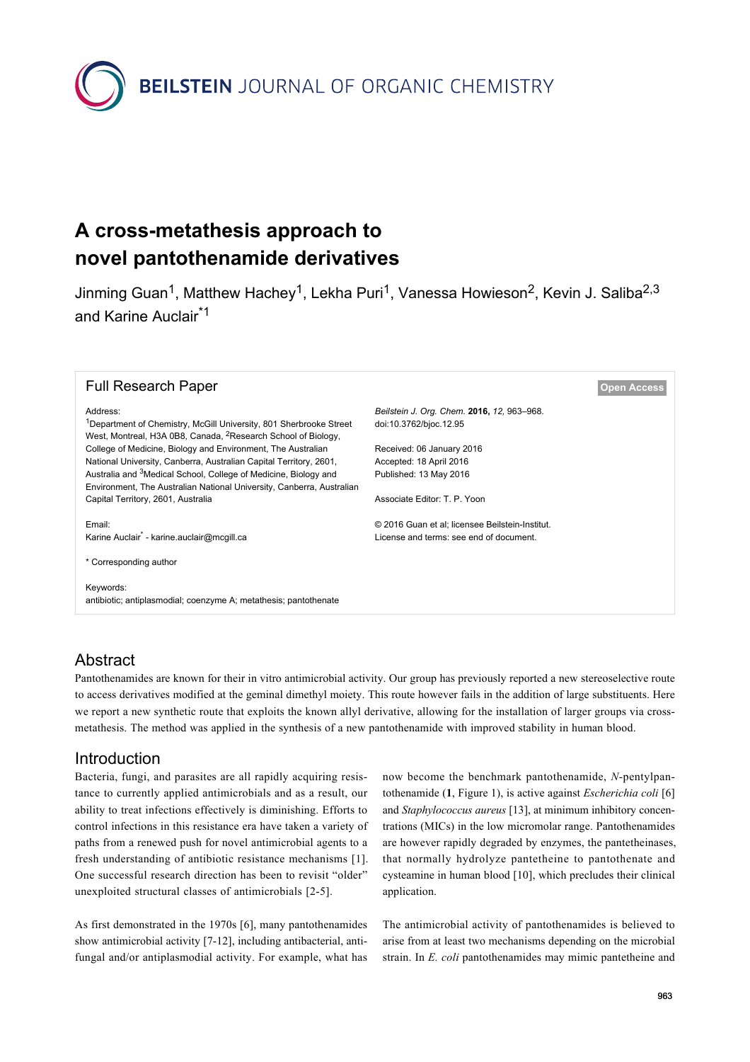**BEILSTEIN** JOURNAL OF ORGANIC CHEMISTRY

# **A cross-metathesis approach to novel pantothenamide derivatives**

Jinming Guan<sup>1</sup>, Matthew Hachey<sup>1</sup>, Lekha Puri<sup>1</sup>, Vanessa Howieson<sup>2</sup>, Kevin J. Saliba<sup>2,3</sup> and Karine Auclair\*1

| <b>Full Research Paper</b>                                                                                                                                  |                                                 | <b>Open Access</b> |
|-------------------------------------------------------------------------------------------------------------------------------------------------------------|-------------------------------------------------|--------------------|
| Address:                                                                                                                                                    | Beilstein J. Org. Chem. 2016, 12, 963–968.      |                    |
| <sup>1</sup> Department of Chemistry, McGill University, 801 Sherbrooke Street<br>West, Montreal, H3A 0B8, Canada, <sup>2</sup> Research School of Biology, | doi:10.3762/bjoc.12.95                          |                    |
| College of Medicine, Biology and Environment, The Australian                                                                                                | Received: 06 January 2016                       |                    |
| National University, Canberra, Australian Capital Territory, 2601,                                                                                          | Accepted: 18 April 2016                         |                    |
| Australia and <sup>3</sup> Medical School, College of Medicine, Biology and<br>Environment, The Australian National University, Canberra, Australian        | Published: 13 May 2016                          |                    |
| Capital Territory, 2601, Australia                                                                                                                          | Associate Editor: T. P. Yoon                    |                    |
| Email:                                                                                                                                                      | © 2016 Guan et al; licensee Beilstein-Institut. |                    |
| Karine Auclair <sup>*</sup> - karine.auclair@mcqill.ca                                                                                                      | License and terms: see end of document.         |                    |
| * Corresponding author                                                                                                                                      |                                                 |                    |
| Keywords:<br>antibiotic; antiplasmodial; coenzyme A; metathesis; pantothenate                                                                               |                                                 |                    |
|                                                                                                                                                             |                                                 |                    |

### Abstract

Pantothenamides are known for their in vitro antimicrobial activity. Our group has previously reported a new stereoselective route to access derivatives modified at the geminal dimethyl moiety. This route however fails in the addition of large substituents. Here we report a new synthetic route that exploits the known allyl derivative, allowing for the installation of larger groups via crossmetathesis. The method was applied in the synthesis of a new pantothenamide with improved stability in human blood.

### Introduction

Bacteria, fungi, and parasites are all rapidly acquiring resistance to currently applied antimicrobials and as a result, our ability to treat infections effectively is diminishing. Efforts to control infections in this resistance era have taken a variety of paths from a renewed push for novel antimicrobial agents to a fresh understanding of antibiotic resistance mechanisms [\[1\]](#page-5-0). One successful research direction has been to revisit "older" unexploited structural classes of antimicrobials [\[2-5\]](#page-5-1).

As first demonstrated in the 1970s [\[6\]](#page-5-2), many pantothenamides show antimicrobial activity [\[7-12\]](#page-5-3), including antibacterial, antifungal and/or antiplasmodial activity. For example, what has now become the benchmark pantothenamide, *N*-pentylpantothenamide (**1**, [Figure 1](#page-1-0)), is active against *Escherichia coli* [\[6\]](#page-5-2) and *Staphylococcus aureus* [\[13\],](#page-5-4) at minimum inhibitory concentrations (MICs) in the low micromolar range. Pantothenamides are however rapidly degraded by enzymes, the pantetheinases, that normally hydrolyze pantetheine to pantothenate and cysteamine in human blood [\[10\]](#page-5-5), which precludes their clinical application.

The antimicrobial activity of pantothenamides is believed to arise from at least two mechanisms depending on the microbial strain. In *E. coli* pantothenamides may mimic pantetheine and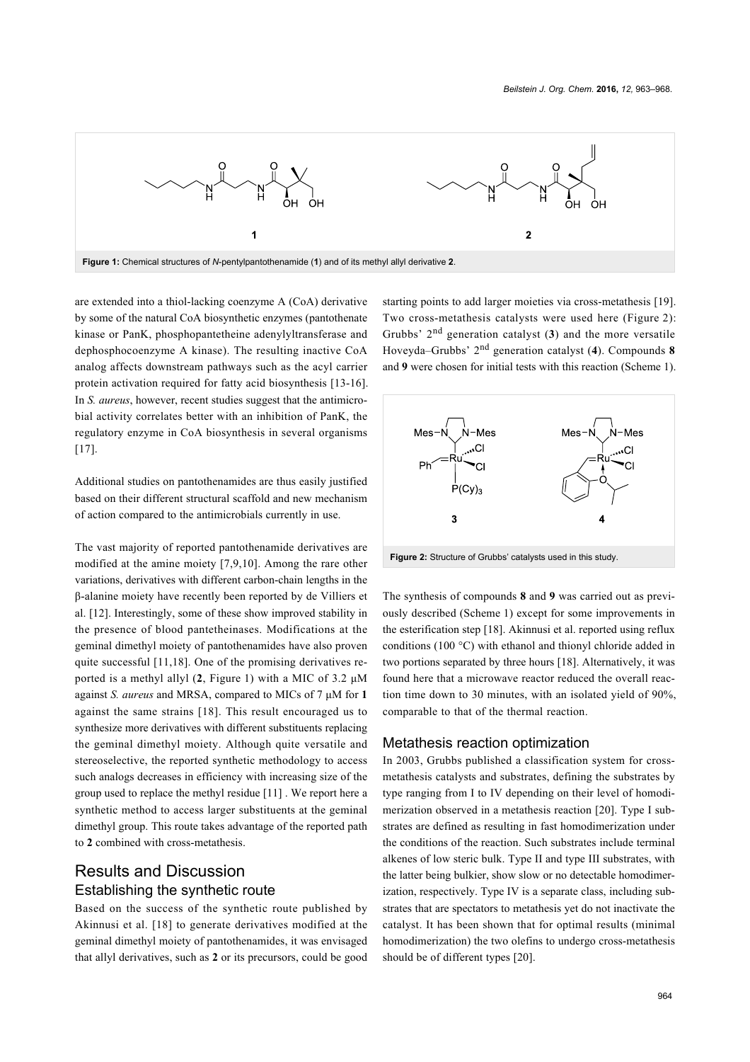<span id="page-1-0"></span>

are extended into a thiol-lacking coenzyme A (CoA) derivative by some of the natural CoA biosynthetic enzymes (pantothenate kinase or PanK, phosphopantetheine adenylyltransferase and dephosphocoenzyme A kinase). The resulting inactive CoA analog affects downstream pathways such as the acyl carrier protein activation required for fatty acid biosynthesis [\[13-16\]](#page-5-4). In *S. aureus*, however, recent studies suggest that the antimicrobial activity correlates better with an inhibition of PanK, the regulatory enzyme in CoA biosynthesis in several organisms [\[17\]](#page-5-6).

Additional studies on pantothenamides are thus easily justified based on their different structural scaffold and new mechanism of action compared to the antimicrobials currently in use.

The vast majority of reported pantothenamide derivatives are modified at the amine moiety [\[7,9,10\]](#page-5-3). Among the rare other variations, derivatives with different carbon-chain lengths in the β-alanine moiety have recently been reported by de Villiers et al. [\[12\].](#page-5-7) Interestingly, some of these show improved stability in the presence of blood pantetheinases. Modifications at the geminal dimethyl moiety of pantothenamides have also proven quite successful [\[11,18\]](#page-5-8). One of the promising derivatives reported is a methyl allyl (**2**, [Figure 1](#page-1-0)) with a MIC of 3.2 μM against *S. aureus* and MRSA, compared to MICs of 7 μM for **1** against the same strains [\[18\]](#page-5-9). This result encouraged us to synthesize more derivatives with different substituents replacing the geminal dimethyl moiety. Although quite versatile and stereoselective, the reported synthetic methodology to access such analogs decreases in efficiency with increasing size of the group used to replace the methyl residue [\[11\]](#page-5-8) . We report here a synthetic method to access larger substituents at the geminal dimethyl group. This route takes advantage of the reported path to **2** combined with cross-metathesis.

# Results and Discussion Establishing the synthetic route

Based on the success of the synthetic route published by Akinnusi et al. [\[18\]](#page-5-9) to generate derivatives modified at the geminal dimethyl moiety of pantothenamides, it was envisaged that allyl derivatives, such as **2** or its precursors, could be good

starting points to add larger moieties via cross-metathesis [\[19\]](#page-5-10). Two cross-metathesis catalysts were used here ([Figure 2](#page-1-1)): Grubbs' 2nd generation catalyst (**3**) and the more versatile Hoveyda–Grubbs' 2nd generation catalyst (**4**). Compounds **8** and **9** were chosen for initial tests with this reaction ([Scheme 1](#page-2-0)).

<span id="page-1-1"></span>

**Figure 2:** Structure of Grubbs' catalysts used in this study.

The synthesis of compounds **8** and **9** was carried out as previously described ([Scheme 1](#page-2-0)) except for some improvements in the esterification step [\[18\].](#page-5-9) Akinnusi et al. reported using reflux conditions (100 °C) with ethanol and thionyl chloride added in two portions separated by three hours [\[18\]](#page-5-9). Alternatively, it was found here that a microwave reactor reduced the overall reaction time down to 30 minutes, with an isolated yield of 90%, comparable to that of the thermal reaction.

#### Metathesis reaction optimization

In 2003, Grubbs published a classification system for crossmetathesis catalysts and substrates, defining the substrates by type ranging from I to IV depending on their level of homodimerization observed in a metathesis reaction [\[20\]](#page-5-11). Type I substrates are defined as resulting in fast homodimerization under the conditions of the reaction. Such substrates include terminal alkenes of low steric bulk. Type II and type III substrates, with the latter being bulkier, show slow or no detectable homodimerization, respectively. Type IV is a separate class, including substrates that are spectators to metathesis yet do not inactivate the catalyst. It has been shown that for optimal results (minimal homodimerization) the two olefins to undergo cross-metathesis should be of different types [\[20\].](#page-5-11)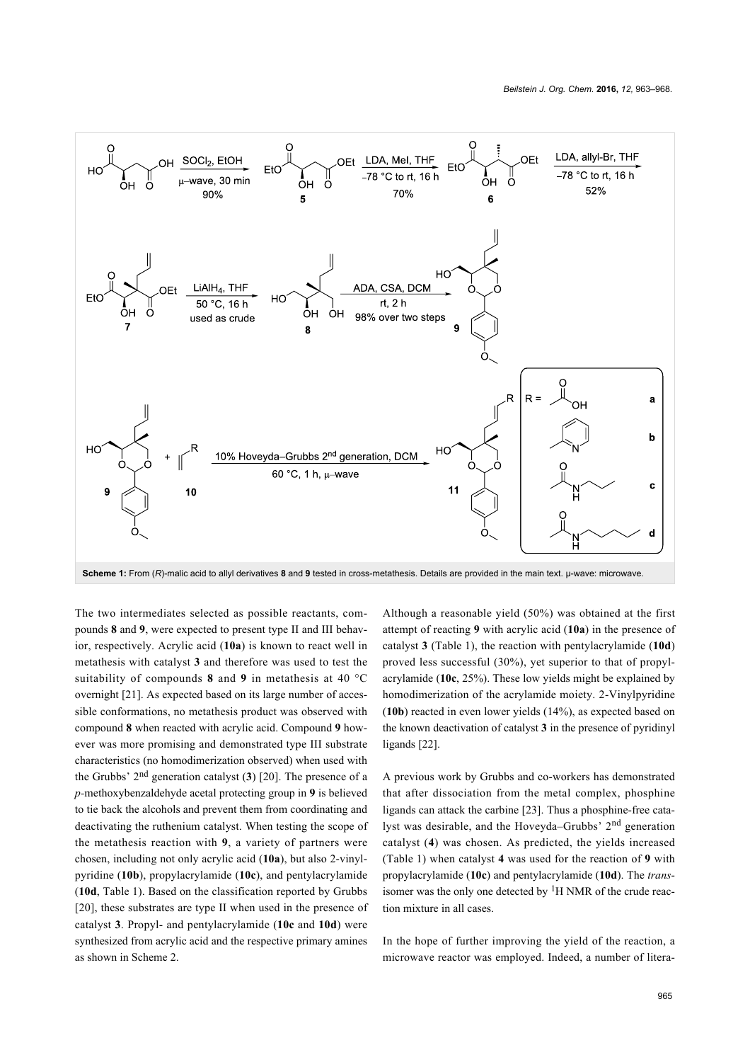<span id="page-2-0"></span>

**Scheme 1:** From (*R*)-malic acid to allyl derivatives **8** and **9** tested in cross-metathesis. Details are provided in the main text. μ-wave: microwave.

The two intermediates selected as possible reactants, compounds **8** and **9**, were expected to present type II and III behavior, respectively. Acrylic acid (**10a**) is known to react well in metathesis with catalyst **3** and therefore was used to test the suitability of compounds **8** and **9** in metathesis at 40 °C overnight [\[21\].](#page-5-12) As expected based on its large number of accessible conformations, no metathesis product was observed with compound **8** when reacted with acrylic acid. Compound **9** however was more promising and demonstrated type III substrate characteristics (no homodimerization observed) when used with the Grubbs' 2nd generation catalyst (**3**) [\[20\].](#page-5-11) The presence of a *p-*methoxybenzaldehyde acetal protecting group in **9** is believed to tie back the alcohols and prevent them from coordinating and deactivating the ruthenium catalyst. When testing the scope of the metathesis reaction with **9**, a variety of partners were chosen, including not only acrylic acid (**10a**), but also 2-vinylpyridine (**10b**), propylacrylamide (**10c**), and pentylacrylamide (**10d**, [Table 1\)](#page-3-0). Based on the classification reported by Grubbs [\[20\],](#page-5-11) these substrates are type II when used in the presence of catalyst **3**. Propyl- and pentylacrylamide (**10c** and **10d**) were synthesized from acrylic acid and the respective primary amines as shown in [Scheme 2.](#page-3-1)

Although a reasonable yield (50%) was obtained at the first attempt of reacting **9** with acrylic acid (**10a**) in the presence of catalyst **3** [\(Table 1](#page-3-0)), the reaction with pentylacrylamide (**10d**) proved less successful (30%), yet superior to that of propylacrylamide (**10c**, 25%). These low yields might be explained by homodimerization of the acrylamide moiety. 2-Vinylpyridine (**10b**) reacted in even lower yields (14%), as expected based on the known deactivation of catalyst **3** in the presence of pyridinyl ligands [\[22\].](#page-5-13)

A previous work by Grubbs and co-workers has demonstrated that after dissociation from the metal complex, phosphine ligands can attack the carbine [\[23\]](#page-5-14). Thus a phosphine-free catalyst was desirable, and the Hoveyda–Grubbs' 2nd generation catalyst (**4**) was chosen. As predicted, the yields increased ([Table 1](#page-3-0)) when catalyst **4** was used for the reaction of **9** with propylacrylamide (**10c**) and pentylacrylamide (**10d**). The *trans*isomer was the only one detected by  ${}^{1}H$  NMR of the crude reaction mixture in all cases.

In the hope of further improving the yield of the reaction, a microwave reactor was employed. Indeed, a number of litera-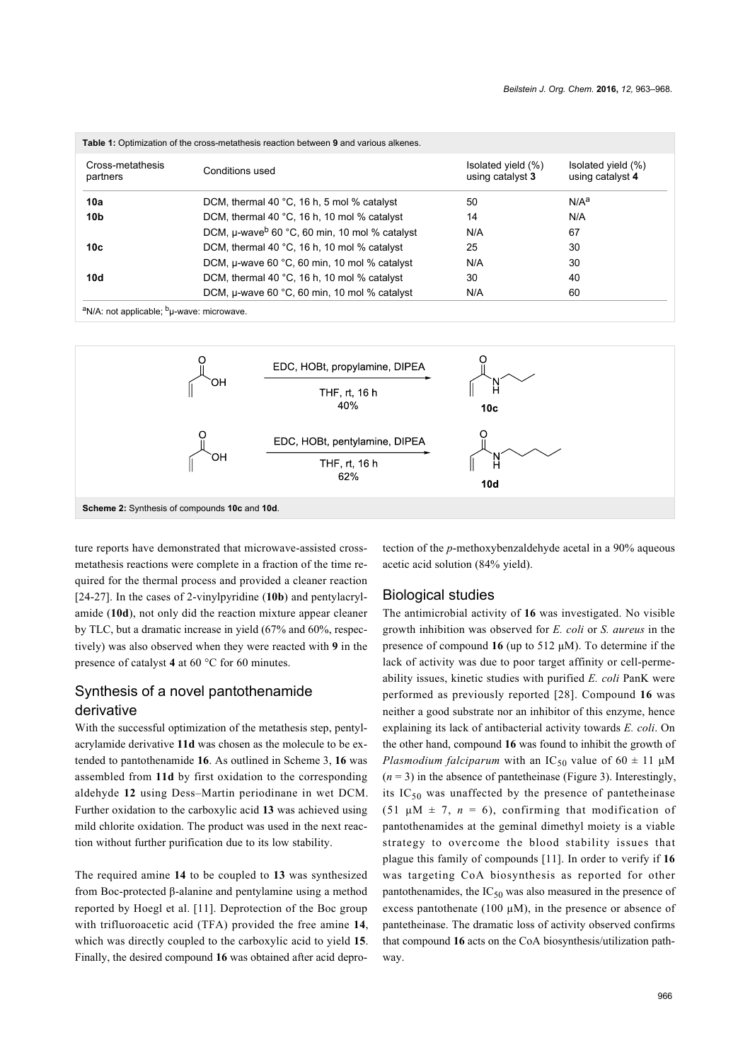<span id="page-3-0"></span>

| Cross-metathesis<br>partners | Conditions used                                           | Isolated yield (%)<br>using catalyst 3 | Isolated yield (%)<br>using catalyst 4 |
|------------------------------|-----------------------------------------------------------|----------------------------------------|----------------------------------------|
| 10a                          | DCM, thermal 40 $^{\circ}$ C, 16 h, 5 mol % catalyst      | 50                                     | N/A <sup>a</sup>                       |
| 10b                          | DCM, thermal 40 °C, 16 h, 10 mol % catalyst               | 14                                     | N/A                                    |
|                              | DCM, µ-wave <sup>b</sup> 60 °C, 60 min, 10 mol % catalyst | N/A                                    | 67                                     |
| 10с                          | DCM, thermal 40 °C, 16 h, 10 mol % catalyst               | 25                                     | 30                                     |
|                              | DCM, u-wave 60 °C, 60 min, 10 mol % catalyst              | N/A                                    | 30                                     |
| 10d                          | DCM, thermal 40 °C, 16 h, 10 mol % catalyst               | 30                                     | 40                                     |
|                              | DCM, µ-wave 60 °C, 60 min, 10 mol % catalyst              | N/A                                    | 60                                     |

<span id="page-3-1"></span>aN/A: not applicable; b<sub>µ-</sub>wave: microwave.



ture reports have demonstrated that microwave-assisted crossmetathesis reactions were complete in a fraction of the time required for the thermal process and provided a cleaner reaction [\[24-27\]](#page-5-15). In the cases of 2-vinylpyridine (**10b**) and pentylacrylamide (**10d**), not only did the reaction mixture appear cleaner by TLC, but a dramatic increase in yield (67% and 60%, respectively) was also observed when they were reacted with **9** in the presence of catalyst **4** at 60 °C for 60 minutes.

### Synthesis of a novel pantothenamide derivative

With the successful optimization of the metathesis step, pentylacrylamide derivative **11d** was chosen as the molecule to be extended to pantothenamide **16**. As outlined in [Scheme 3,](#page-4-0) **16** was assembled from **11d** by first oxidation to the corresponding aldehyde **12** using Dess–Martin periodinane in wet DCM. Further oxidation to the carboxylic acid **13** was achieved using mild chlorite oxidation. The product was used in the next reaction without further purification due to its low stability.

The required amine **14** to be coupled to **13** was synthesized from Boc-protected β-alanine and pentylamine using a method reported by Hoegl et al. [\[11\]](#page-5-8). Deprotection of the Boc group with trifluoroacetic acid (TFA) provided the free amine **14**, which was directly coupled to the carboxylic acid to yield **15**. Finally, the desired compound **16** was obtained after acid deprotection of the *p*-methoxybenzaldehyde acetal in a 90% aqueous acetic acid solution (84% yield).

#### Biological studies

The antimicrobial activity of **16** was investigated. No visible growth inhibition was observed for *E. coli* or *S. aureus* in the presence of compound **16** (up to 512 μM). To determine if the lack of activity was due to poor target affinity or cell-permeability issues, kinetic studies with purified *E. coli* PanK were performed as previously reported [\[28\].](#page-5-16) Compound **16** was neither a good substrate nor an inhibitor of this enzyme, hence explaining its lack of antibacterial activity towards *E. coli*. On the other hand, compound **16** was found to inhibit the growth of *Plasmodium falciparum* with an  $IC_{50}$  value of 60  $\pm$  11  $\mu$ M  $(n = 3)$  in the absence of pantetheinase ([Figure 3](#page-4-1)). Interestingly, its  $IC_{50}$  was unaffected by the presence of pantetheinase (51  $\mu$ M  $\pm$  7, *n* = 6), confirming that modification of pantothenamides at the geminal dimethyl moiety is a viable strategy to overcome the blood stability issues that plague this family of compounds [\[11\]](#page-5-8). In order to verify if **16** was targeting CoA biosynthesis as reported for other pantothenamides, the  $IC_{50}$  was also measured in the presence of excess pantothenate (100  $\mu$ M), in the presence or absence of pantetheinase. The dramatic loss of activity observed confirms that compound **16** acts on the CoA biosynthesis/utilization pathway.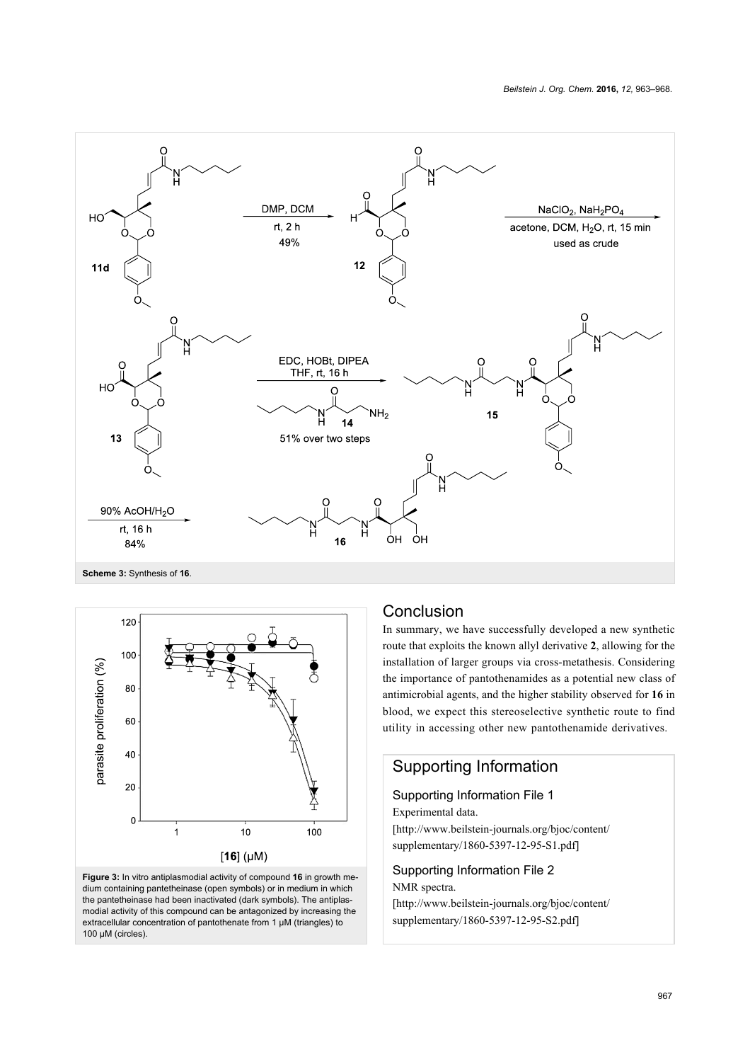<span id="page-4-0"></span>

<span id="page-4-1"></span>

**Figure 3:** In vitro antiplasmodial activity of compound **16** in growth medium containing pantetheinase (open symbols) or in medium in which the pantetheinase had been inactivated (dark symbols). The antiplasmodial activity of this compound can be antagonized by increasing the extracellular concentration of pantothenate from 1 µM (triangles) to 100 μM (circles).

## Conclusion

In summary, we have successfully developed a new synthetic route that exploits the known allyl derivative **2**, allowing for the installation of larger groups via cross-metathesis. Considering the importance of pantothenamides as a potential new class of antimicrobial agents, and the higher stability observed for **16** in blood, we expect this stereoselective synthetic route to find utility in accessing other new pantothenamide derivatives.

# Supporting Information

Supporting Information File 1 Experimental data.

[\[http://www.beilstein-journals.org/bjoc/content/](http://www.beilstein-journals.org/bjoc/content/supplementary/1860-5397-12-95-S1.pdf) [supplementary/1860-5397-12-95-S1.pdf\]](http://www.beilstein-journals.org/bjoc/content/supplementary/1860-5397-12-95-S1.pdf)

Supporting Information File 2 NMR spectra.

[\[http://www.beilstein-journals.org/bjoc/content/](http://www.beilstein-journals.org/bjoc/content/supplementary/1860-5397-12-95-S2.pdf) [supplementary/1860-5397-12-95-S2.pdf\]](http://www.beilstein-journals.org/bjoc/content/supplementary/1860-5397-12-95-S2.pdf)